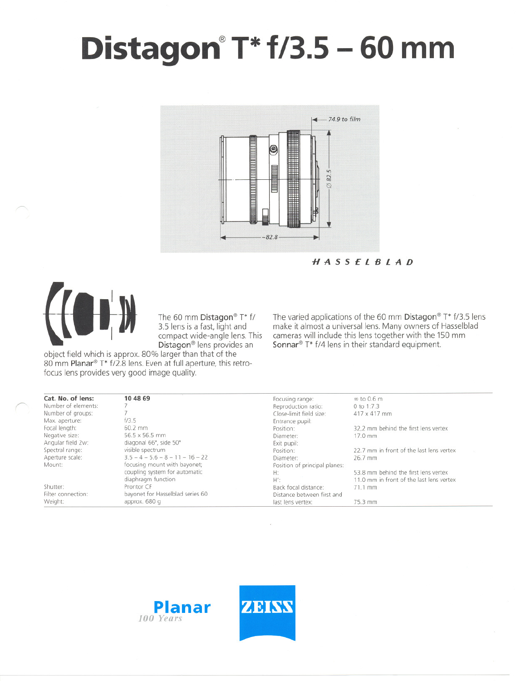## **Distagon@T\* 1/3.5** - **60mm**



HASSElBlAD



*r-*

The 60 mm Distagon® T\* f/ 3.5 lens is a fast, light and compact wide-angle lens. This Di**stagon**® lens provides an

object field which is approx. 80% larger than that of the 80 mm Planar® T\* f/2.8 lens. Even at full aperture, this retrofocus lens provides very good image quality.

The varied applications of the 60 mm Distagon® T\* f/3.5 lens make it almost a universal lens. Many owners of Hasselblad cameras will include this lens together with the 150 mm Sonnar<sup>®</sup> T\*  $f/4$  lens in their standard equipment.

| Cat. No. of lens:   | 10 48 69                           | Focusing range:               | $\infty$ to 0.6 m                        |  |
|---------------------|------------------------------------|-------------------------------|------------------------------------------|--|
| Number of elements: |                                    | Reproduction ratio:           | 0 to 1:7.3                               |  |
| Number of groups:   |                                    | Close-limit field size:       | 417 x 417 mm                             |  |
| Max. aperture:      | f/3.5                              | Entrance pupil:               |                                          |  |
| Focal length:       | 60.2 mm                            | Position:                     | 32.2 mm behind the first lens vertex     |  |
| Negative size:      | 56.5 x 56.5 mm                     | Diameter:                     | 17.0 mm                                  |  |
| Angular field 2w:   | diagonal 66°, side 50°             | Exit pupil:                   |                                          |  |
| Spectral range:     | visible spectrum                   | Position:                     | 22.7 mm in front of the last lens vertex |  |
| Aperture scale:     | $3.5 - 4 - 5.6 - 8 - 11 - 16 - 22$ | Diameter:                     | 26.7 mm                                  |  |
| Mount:              | focusing mount with bayonet;       | Position of principal planes: |                                          |  |
|                     | coupling system for automatic      | H:                            | 53.8 mm behind the first lens vertex     |  |
|                     | diaphragm function                 | H':                           | 11.0 mm in front of the last lens vertex |  |
| Shutter:            | Prontor CF                         | Back focal distance:          | 71.1 mm                                  |  |
| Filter connection:  | bayonet for Hasselblad series 60   |                               | Distance between first and               |  |
| Weight:             | approx. 680 g                      | last lens vertex:             | 75.3 mm                                  |  |